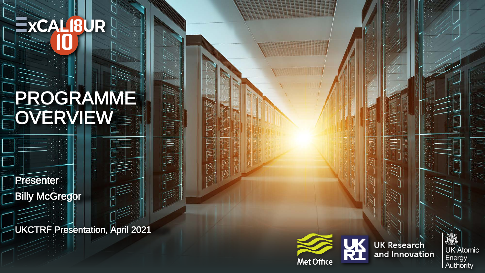# EXCALIBUR

# PROGRAMME OVERVIEW

**Presenter Billy McGregor** 

UKCTRF Presentation, April 2021



厚

厚

**TEL** 



**UK Research** and Innovation

邀 **UK Atomic** Energy<br>Authority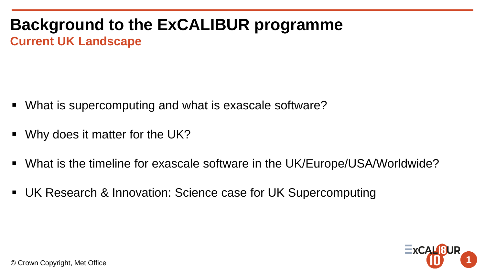#### **Background to the ExCALIBUR programme Current UK Landscape**

- What is supercomputing and what is exascale software?
- Why does it matter for the UK?
- What is the timeline for exascale software in the UK/Europe/USA/Worldwide?
- UK Research & Innovation: Science case for UK Supercomputing



© Crown Copyright, Met Office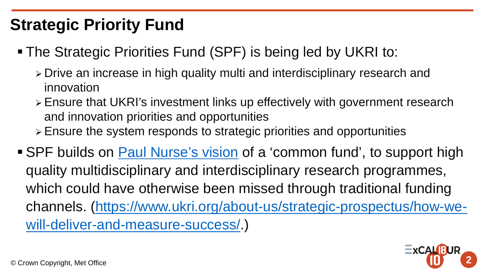#### **Strategic Priority Fund**

- The Strategic Priorities Fund (SPF) is being led by UKRI to:
	- Drive an increase in high quality multi and interdisciplinary research and innovation
	- Ensure that UKRI's investment links up effectively with government research and innovation priorities and opportunities
	- Ensure the system responds to strategic priorities and opportunities
- SPF builds on [Paul Nurse's vision](https://www.gov.uk/government/publications/nurse-review-of-research-councils-recommendations) of a 'common fund', to support high quality multidisciplinary and interdisciplinary research programmes, which could have otherwise been missed through traditional funding [channels. \(https://www.ukri.org/about-us/strategic-prospectus/how-we](https://www.ukri.org/about-us/strategic-prospectus/how-we-will-deliver-and-measure-success/)will-deliver-and-measure-success/.)

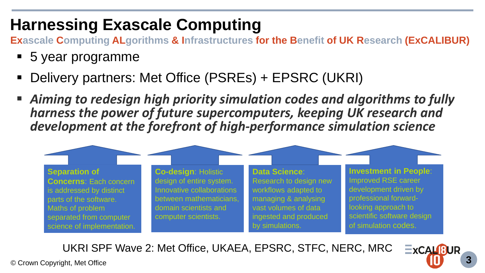#### **Harnessing Exascale Computing**

**Exascale Computing ALgorithms & Infrastructures for the Benefit of UK Research (ExCALIBUR)**

- 5 year programme
- Delivery partners: Met Office (PSREs) + EPSRC (UKRI)
- *Aiming to redesign high priority simulation codes and algorithms to fully harness the power of future supercomputers, keeping UK research and development at the forefront of high-performance simulation science*



 $ExCAUBUR$ 

UKRI SPF Wave 2: Met Office, UKAEA, EPSRC, STFC, NERC, MRC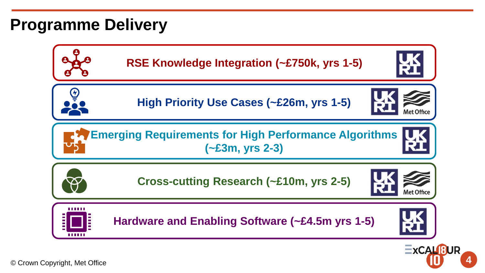#### **Programme Delivery**



**4**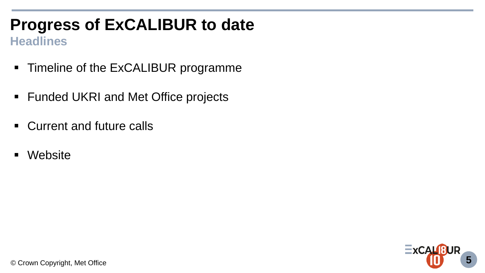# **Progress of ExCALIBUR to date**

#### **Headlines**

- Timeline of the ExCALIBUR programme
- Funded UKRI and Met Office projects
- **EXECUTE CULLE CALLE**
- Website

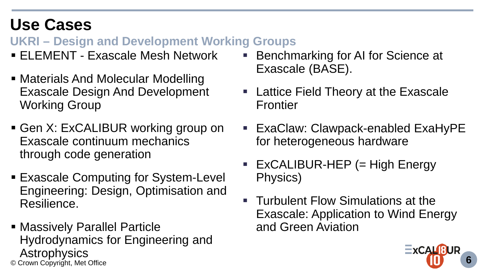#### **Use Cases**

**UKRI – Design and Development Working Groups**

- ELEMENT Exascale Mesh Network
- Materials And Molecular Modelling Exascale Design And Development Working Group
- Gen X: ExCALIBUR working group on Exascale continuum mechanics through code generation
- **Exascale Computing for System-Level** Engineering: Design, Optimisation and Resilience.
- © Crown Copyright, Met Office **6** Massively Parallel Particle Hydrodynamics for Engineering and Astrophysics
- Benchmarking for AI for Science at Exascale (BASE).
- Lattice Field Theory at the Exascale Frontier
- ExaClaw: Clawpack-enabled ExaHyPE for heterogeneous hardware
- $\blacksquare$  ExCALIBUR-HEP (= High Energy Physics)
- **Turbulent Flow Simulations at the** Exascale: Application to Wind Energy and Green Aviation

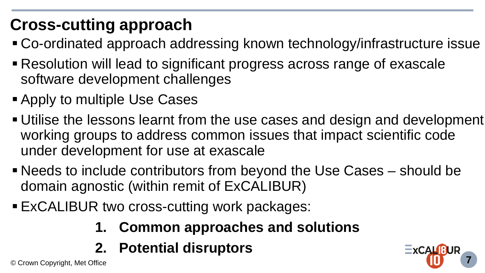# **Cross-cutting approach**

- Co-ordinated approach addressing known technology/infrastructure issue
- Resolution will lead to significant progress across range of exascale software development challenges
- **Apply to multiple Use Cases**
- Utilise the lessons learnt from the use cases and design and development working groups to address common issues that impact scientific code under development for use at exascale
- Needs to include contributors from beyond the Use Cases should be domain agnostic (within remit of ExCALIBUR)
- **ExCALIBUR two cross-cutting work packages:** 
	- **1. Common approaches and solutions**
	- **2. Potential disruptors**

© Crown Copyright, Met Office **7**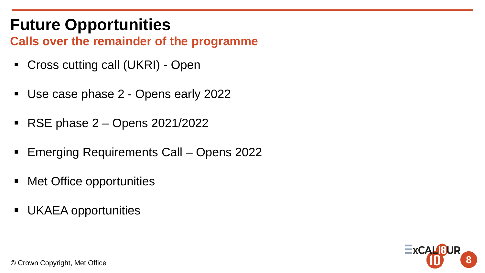### **Future Opportunities**

**Calls over the remainder of the programme**

- Cross cutting call (UKRI) Open
- Use case phase 2 Opens early 2022
- **RSE phase 2 Opens 2021/2022**
- Emerging Requirements Call Opens 2022
- **Met Office opportunities**
- UKAEA opportunities